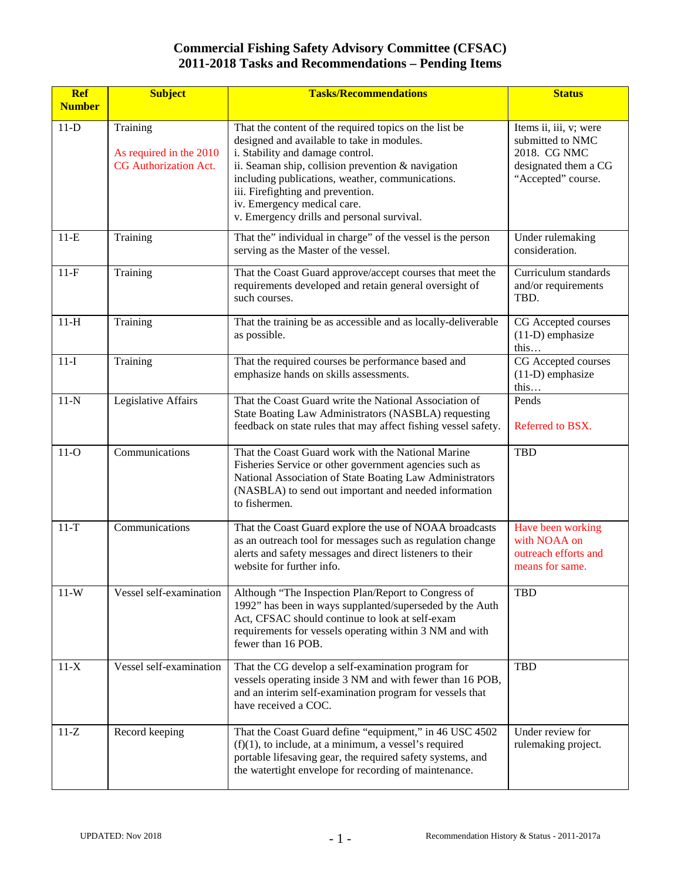| <b>Ref</b><br><b>Number</b> | <b>Subject</b>                                                      | <b>Tasks/Recommendations</b>                                                                                                                                                                                                                                                                                                                                         | <b>Status</b>                                                                                            |
|-----------------------------|---------------------------------------------------------------------|----------------------------------------------------------------------------------------------------------------------------------------------------------------------------------------------------------------------------------------------------------------------------------------------------------------------------------------------------------------------|----------------------------------------------------------------------------------------------------------|
| $11-D$                      | Training<br>As required in the 2010<br><b>CG</b> Authorization Act. | That the content of the required topics on the list be<br>designed and available to take in modules.<br>i. Stability and damage control.<br>ii. Seaman ship, collision prevention & navigation<br>including publications, weather, communications.<br>iii. Firefighting and prevention.<br>iv. Emergency medical care.<br>v. Emergency drills and personal survival. | Items ii, iii, v; were<br>submitted to NMC<br>2018. CG NMC<br>designated them a CG<br>"Accepted" course. |
| $11-E$                      | Training                                                            | That the" individual in charge" of the vessel is the person<br>serving as the Master of the vessel.                                                                                                                                                                                                                                                                  | Under rulemaking<br>consideration.                                                                       |
| $11-F$                      | Training                                                            | That the Coast Guard approve/accept courses that meet the<br>requirements developed and retain general oversight of<br>such courses.                                                                                                                                                                                                                                 | Curriculum standards<br>and/or requirements<br>TBD.                                                      |
| $11-H$                      | Training                                                            | That the training be as accessible and as locally-deliverable<br>as possible.                                                                                                                                                                                                                                                                                        | CG Accepted courses<br>$(11-D)$ emphasize<br>this                                                        |
| $11-I$                      | Training                                                            | That the required courses be performance based and<br>emphasize hands on skills assessments.                                                                                                                                                                                                                                                                         | CG Accepted courses<br>$(11-D)$ emphasize<br>this                                                        |
| $11-N$                      | Legislative Affairs                                                 | That the Coast Guard write the National Association of<br>State Boating Law Administrators (NASBLA) requesting<br>feedback on state rules that may affect fishing vessel safety.                                                                                                                                                                                     | Pends<br>Referred to BSX.                                                                                |
| $11-O$                      | Communications                                                      | That the Coast Guard work with the National Marine<br>Fisheries Service or other government agencies such as<br>National Association of State Boating Law Administrators<br>(NASBLA) to send out important and needed information<br>to fishermen.                                                                                                                   | <b>TBD</b>                                                                                               |
| $11-T$                      | Communications                                                      | That the Coast Guard explore the use of NOAA broadcasts<br>as an outreach tool for messages such as regulation change<br>alerts and safety messages and direct listeners to their<br>website for further info.                                                                                                                                                       | Have been working<br>with NOAA on<br>outreach efforts and<br>means for same.                             |
| $11-W$                      | Vessel self-examination                                             | Although "The Inspection Plan/Report to Congress of<br>1992" has been in ways supplanted/superseded by the Auth<br>Act, CFSAC should continue to look at self-exam<br>requirements for vessels operating within 3 NM and with<br>fewer than 16 POB.                                                                                                                  | <b>TBD</b>                                                                                               |
| $11-X$                      | Vessel self-examination                                             | That the CG develop a self-examination program for<br>vessels operating inside 3 NM and with fewer than 16 POB,<br>and an interim self-examination program for vessels that<br>have received a COC.                                                                                                                                                                  | TBD                                                                                                      |
| $11 - Z$                    | Record keeping                                                      | That the Coast Guard define "equipment," in 46 USC 4502<br>$(f)(1)$ , to include, at a minimum, a vessel's required<br>portable lifesaving gear, the required safety systems, and<br>the watertight envelope for recording of maintenance.                                                                                                                           | Under review for<br>rulemaking project.                                                                  |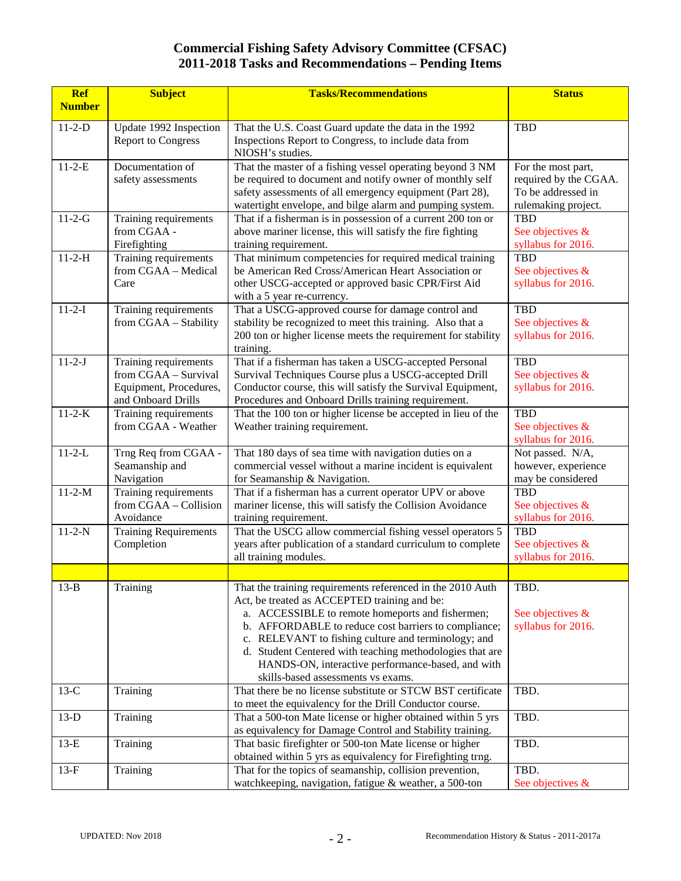| <b>Ref</b><br><b>Number</b> | <b>Subject</b>                                | <b>Tasks/Recommendations</b>                                                                                          | <b>Status</b>                               |
|-----------------------------|-----------------------------------------------|-----------------------------------------------------------------------------------------------------------------------|---------------------------------------------|
|                             |                                               |                                                                                                                       |                                             |
| $11-2-D$                    | Update 1992 Inspection                        | That the U.S. Coast Guard update the data in the 1992                                                                 | <b>TBD</b>                                  |
|                             | <b>Report to Congress</b>                     | Inspections Report to Congress, to include data from                                                                  |                                             |
| $11 - 2 - E$                | Documentation of                              | NIOSH's studies.                                                                                                      |                                             |
|                             | safety assessments                            | That the master of a fishing vessel operating beyond 3 NM<br>be required to document and notify owner of monthly self | For the most part,<br>required by the CGAA. |
|                             |                                               | safety assessments of all emergency equipment (Part 28),                                                              | To be addressed in                          |
|                             |                                               | watertight envelope, and bilge alarm and pumping system.                                                              | rulemaking project.                         |
| $11 - 2 - G$                | Training requirements                         | That if a fisherman is in possession of a current 200 ton or                                                          | TBD                                         |
|                             | from CGAA -                                   | above mariner license, this will satisfy the fire fighting                                                            | See objectives &                            |
|                             | Firefighting                                  | training requirement.                                                                                                 | syllabus for 2016.                          |
| $11 - 2 - H$                | Training requirements                         | That minimum competencies for required medical training                                                               | <b>TBD</b>                                  |
|                             | from CGAA - Medical                           | be American Red Cross/American Heart Association or                                                                   | See objectives &                            |
|                             | Care                                          | other USCG-accepted or approved basic CPR/First Aid                                                                   | syllabus for 2016.                          |
|                             |                                               | with a 5 year re-currency.                                                                                            |                                             |
| $11 - 2 - I$                | Training requirements                         | That a USCG-approved course for damage control and                                                                    | <b>TBD</b>                                  |
|                             | from CGAA - Stability                         | stability be recognized to meet this training. Also that a                                                            | See objectives &                            |
|                             |                                               | 200 ton or higher license meets the requirement for stability                                                         | syllabus for 2016.                          |
| $11 - 2 - J$                |                                               | training.                                                                                                             | <b>TBD</b>                                  |
|                             | Training requirements<br>from CGAA - Survival | That if a fisherman has taken a USCG-accepted Personal<br>Survival Techniques Course plus a USCG-accepted Drill       | See objectives &                            |
|                             | Equipment, Procedures,                        | Conductor course, this will satisfy the Survival Equipment,                                                           | syllabus for 2016.                          |
|                             | and Onboard Drills                            | Procedures and Onboard Drills training requirement.                                                                   |                                             |
| $11 - 2 - K$                | Training requirements                         | That the 100 ton or higher license be accepted in lieu of the                                                         | <b>TBD</b>                                  |
|                             | from CGAA - Weather                           | Weather training requirement.                                                                                         | See objectives &                            |
|                             |                                               |                                                                                                                       | syllabus for 2016.                          |
| $11 - 2 - L$                | Trng Req from CGAA -                          | That 180 days of sea time with navigation duties on a                                                                 | Not passed. N/A,                            |
|                             | Seamanship and                                | commercial vessel without a marine incident is equivalent                                                             | however, experience                         |
|                             | Navigation                                    | for Seamanship & Navigation.                                                                                          | may be considered                           |
| $11 - 2 - M$                | Training requirements                         | That if a fisherman has a current operator UPV or above                                                               | <b>TBD</b>                                  |
|                             | from CGAA - Collision                         | mariner license, this will satisfy the Collision Avoidance                                                            | See objectives &                            |
|                             | Avoidance                                     | training requirement.                                                                                                 | syllabus for 2016.                          |
| $11-2-N$                    | <b>Training Requirements</b>                  | That the USCG allow commercial fishing vessel operators 5                                                             | <b>TBD</b>                                  |
|                             | Completion                                    | years after publication of a standard curriculum to complete                                                          | See objectives &                            |
|                             |                                               | all training modules.                                                                                                 | syllabus for 2016.                          |
|                             |                                               |                                                                                                                       |                                             |
| $13-B$                      | Training                                      | That the training requirements referenced in the 2010 Auth                                                            | TBD.                                        |
|                             |                                               | Act, be treated as ACCEPTED training and be:                                                                          |                                             |
|                             |                                               | a. ACCESSIBLE to remote homeports and fishermen;                                                                      | See objectives &                            |
|                             |                                               | b. AFFORDABLE to reduce cost barriers to compliance;                                                                  | syllabus for 2016.                          |
|                             |                                               | c. RELEVANT to fishing culture and terminology; and<br>d. Student Centered with teaching methodologies that are       |                                             |
|                             |                                               | HANDS-ON, interactive performance-based, and with                                                                     |                                             |
|                             |                                               | skills-based assessments vs exams.                                                                                    |                                             |
| $13-C$                      | Training                                      | That there be no license substitute or STCW BST certificate                                                           | TBD.                                        |
|                             |                                               | to meet the equivalency for the Drill Conductor course.                                                               |                                             |
| $13-D$                      | Training                                      | That a 500-ton Mate license or higher obtained within 5 yrs                                                           | TBD.                                        |
|                             |                                               | as equivalency for Damage Control and Stability training.                                                             |                                             |
| $13-E$                      | Training                                      | That basic firefighter or 500-ton Mate license or higher                                                              | TBD.                                        |
|                             |                                               | obtained within 5 yrs as equivalency for Firefighting trng.                                                           |                                             |
| $13-F$                      | Training                                      | That for the topics of seamanship, collision prevention,                                                              | TBD.                                        |
|                             |                                               | watchkeeping, navigation, fatigue & weather, a 500-ton                                                                | See objectives &                            |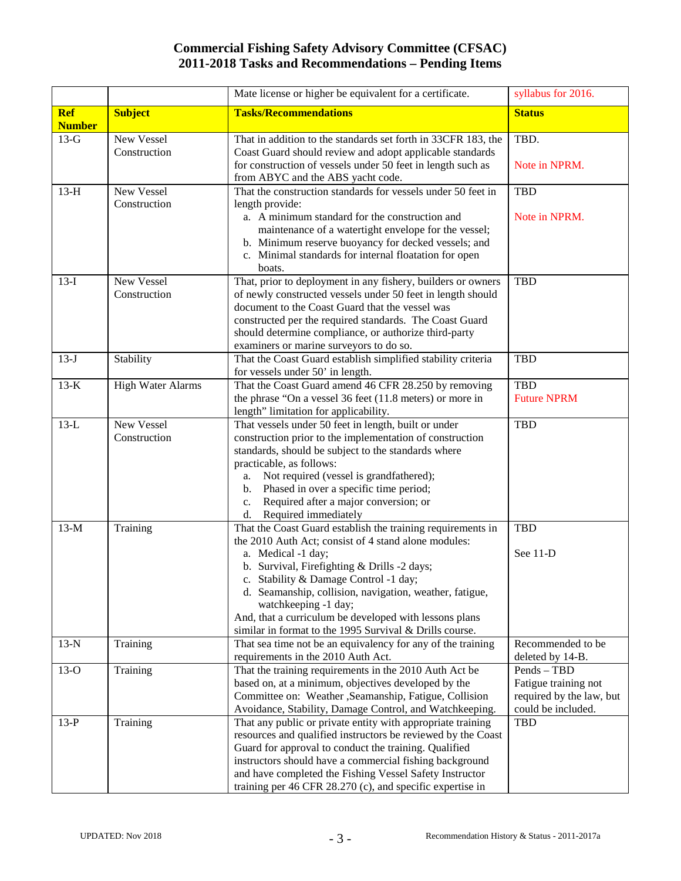|                             |                            | Mate license or higher be equivalent for a certificate.                                                                                                                                                                                                                                                                                                                                                                                   | syllabus for 2016.                                                                    |
|-----------------------------|----------------------------|-------------------------------------------------------------------------------------------------------------------------------------------------------------------------------------------------------------------------------------------------------------------------------------------------------------------------------------------------------------------------------------------------------------------------------------------|---------------------------------------------------------------------------------------|
| <b>Ref</b><br><b>Number</b> | <b>Subject</b>             | <b>Tasks/Recommendations</b>                                                                                                                                                                                                                                                                                                                                                                                                              | <b>Status</b>                                                                         |
| $13-G$                      | New Vessel<br>Construction | That in addition to the standards set forth in 33CFR 183, the<br>Coast Guard should review and adopt applicable standards<br>for construction of vessels under 50 feet in length such as<br>from ABYC and the ABS yacht code.                                                                                                                                                                                                             | TBD.<br>Note in NPRM.                                                                 |
| $13-H$                      | New Vessel<br>Construction | That the construction standards for vessels under 50 feet in<br>length provide:<br>a. A minimum standard for the construction and<br>maintenance of a watertight envelope for the vessel;<br>b. Minimum reserve buoyancy for decked vessels; and<br>c. Minimal standards for internal floatation for open<br>boats.                                                                                                                       | <b>TBD</b><br>Note in NPRM.                                                           |
| $13-I$                      | New Vessel<br>Construction | That, prior to deployment in any fishery, builders or owners<br>of newly constructed vessels under 50 feet in length should<br>document to the Coast Guard that the vessel was<br>constructed per the required standards. The Coast Guard<br>should determine compliance, or authorize third-party<br>examiners or marine surveyors to do so.                                                                                             | <b>TBD</b>                                                                            |
| $13-J$                      | Stability                  | That the Coast Guard establish simplified stability criteria<br>for vessels under 50' in length.                                                                                                                                                                                                                                                                                                                                          | <b>TBD</b>                                                                            |
| $13-K$                      | <b>High Water Alarms</b>   | That the Coast Guard amend 46 CFR 28.250 by removing<br>the phrase "On a vessel 36 feet (11.8 meters) or more in<br>length" limitation for applicability.                                                                                                                                                                                                                                                                                 | <b>TBD</b><br><b>Future NPRM</b>                                                      |
| $13-L$                      | New Vessel<br>Construction | That vessels under 50 feet in length, built or under<br>construction prior to the implementation of construction<br>standards, should be subject to the standards where<br>practicable, as follows:<br>a. Not required (vessel is grandfathered);<br>b. Phased in over a specific time period;<br>Required after a major conversion; or<br>c.<br>d. Required immediately                                                                  | <b>TBD</b>                                                                            |
| $13-M$                      | Training                   | That the Coast Guard establish the training requirements in<br>the 2010 Auth Act; consist of 4 stand alone modules:<br>a. Medical -1 day;<br>b. Survival, Firefighting & Drills -2 days;<br>c. Stability & Damage Control -1 day;<br>d. Seamanship, collision, navigation, weather, fatigue,<br>watchkeeping -1 day;<br>And, that a curriculum be developed with lessons plans<br>similar in format to the 1995 Survival & Drills course. | <b>TBD</b><br>See 11-D                                                                |
| $13-N$                      | Training                   | That sea time not be an equivalency for any of the training<br>requirements in the 2010 Auth Act.                                                                                                                                                                                                                                                                                                                                         | Recommended to be<br>deleted by 14-B.                                                 |
| $13-O$                      | Training                   | That the training requirements in the 2010 Auth Act be<br>based on, at a minimum, objectives developed by the<br>Committee on: Weather ,Seamanship, Fatigue, Collision<br>Avoidance, Stability, Damage Control, and Watchkeeping.                                                                                                                                                                                                         | Pends - TBD<br>Fatigue training not<br>required by the law, but<br>could be included. |
| $13-P$                      | Training                   | That any public or private entity with appropriate training<br>resources and qualified instructors be reviewed by the Coast<br>Guard for approval to conduct the training. Qualified<br>instructors should have a commercial fishing background<br>and have completed the Fishing Vessel Safety Instructor<br>training per 46 CFR 28.270 (c), and specific expertise in                                                                   | <b>TBD</b>                                                                            |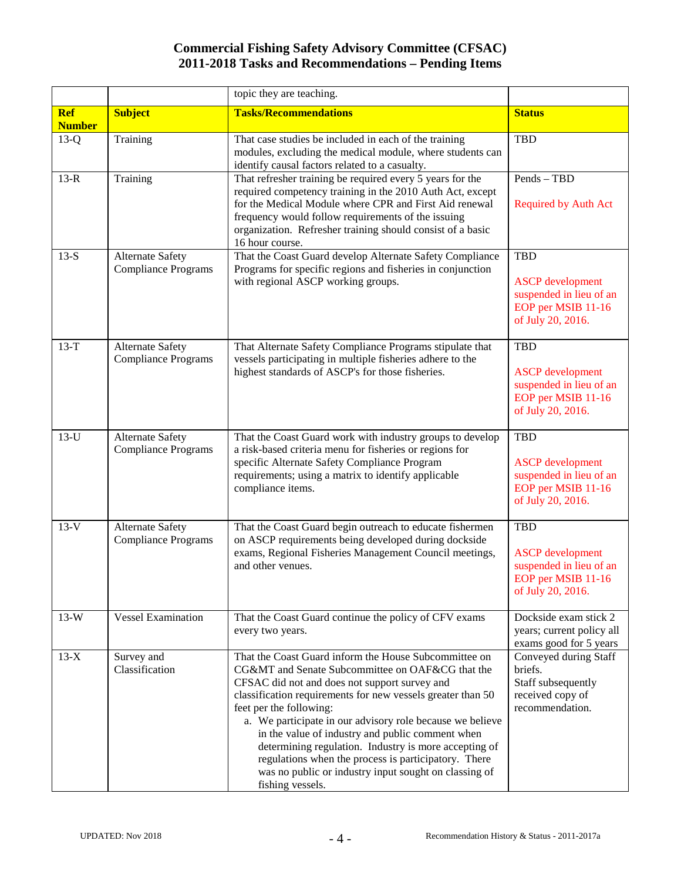|                             |                                                       | topic they are teaching.                                                                                                                                                                                                                                                                                                                                                                                                                                                                                                                                            |                                                                                                             |
|-----------------------------|-------------------------------------------------------|---------------------------------------------------------------------------------------------------------------------------------------------------------------------------------------------------------------------------------------------------------------------------------------------------------------------------------------------------------------------------------------------------------------------------------------------------------------------------------------------------------------------------------------------------------------------|-------------------------------------------------------------------------------------------------------------|
| <b>Ref</b><br><b>Number</b> | <b>Subject</b>                                        | <b>Tasks/Recommendations</b>                                                                                                                                                                                                                                                                                                                                                                                                                                                                                                                                        | <b>Status</b>                                                                                               |
| $13-Q$                      | Training                                              | That case studies be included in each of the training<br>modules, excluding the medical module, where students can<br>identify causal factors related to a casualty.                                                                                                                                                                                                                                                                                                                                                                                                | TBD                                                                                                         |
| $13-R$                      | Training                                              | That refresher training be required every 5 years for the<br>required competency training in the 2010 Auth Act, except<br>for the Medical Module where CPR and First Aid renewal<br>frequency would follow requirements of the issuing<br>organization. Refresher training should consist of a basic<br>16 hour course.                                                                                                                                                                                                                                             | Pends - TBD<br><b>Required by Auth Act</b>                                                                  |
| $13-S$                      | <b>Alternate Safety</b><br><b>Compliance Programs</b> | That the Coast Guard develop Alternate Safety Compliance<br>Programs for specific regions and fisheries in conjunction<br>with regional ASCP working groups.                                                                                                                                                                                                                                                                                                                                                                                                        | <b>TBD</b><br><b>ASCP</b> development<br>suspended in lieu of an<br>EOP per MSIB 11-16<br>of July 20, 2016. |
| $13-T$                      | <b>Alternate Safety</b><br><b>Compliance Programs</b> | That Alternate Safety Compliance Programs stipulate that<br>vessels participating in multiple fisheries adhere to the<br>highest standards of ASCP's for those fisheries.                                                                                                                                                                                                                                                                                                                                                                                           | <b>TBD</b><br><b>ASCP</b> development<br>suspended in lieu of an<br>EOP per MSIB 11-16<br>of July 20, 2016. |
| $13-U$                      | <b>Alternate Safety</b><br><b>Compliance Programs</b> | That the Coast Guard work with industry groups to develop<br>a risk-based criteria menu for fisheries or regions for<br>specific Alternate Safety Compliance Program<br>requirements; using a matrix to identify applicable<br>compliance items.                                                                                                                                                                                                                                                                                                                    | <b>TBD</b><br><b>ASCP</b> development<br>suspended in lieu of an<br>EOP per MSIB 11-16<br>of July 20, 2016. |
| $13-V$                      | <b>Alternate Safety</b><br><b>Compliance Programs</b> | That the Coast Guard begin outreach to educate fishermen<br>on ASCP requirements being developed during dockside<br>exams, Regional Fisheries Management Council meetings,<br>and other venues.                                                                                                                                                                                                                                                                                                                                                                     | <b>TBD</b><br><b>ASCP</b> development<br>suspended in lieu of an<br>EOP per MSIB 11-16<br>of July 20, 2016. |
| $13-W$                      | <b>Vessel Examination</b>                             | That the Coast Guard continue the policy of CFV exams<br>every two years.                                                                                                                                                                                                                                                                                                                                                                                                                                                                                           | Dockside exam stick 2<br>years; current policy all<br>exams good for 5 years                                |
| $13-X$                      | Survey and<br>Classification                          | That the Coast Guard inform the House Subcommittee on<br>CG&MT and Senate Subcommittee on OAF&CG that the<br>CFSAC did not and does not support survey and<br>classification requirements for new vessels greater than 50<br>feet per the following:<br>a. We participate in our advisory role because we believe<br>in the value of industry and public comment when<br>determining regulation. Industry is more accepting of<br>regulations when the process is participatory. There<br>was no public or industry input sought on classing of<br>fishing vessels. | Conveyed during Staff<br>briefs.<br>Staff subsequently<br>received copy of<br>recommendation.               |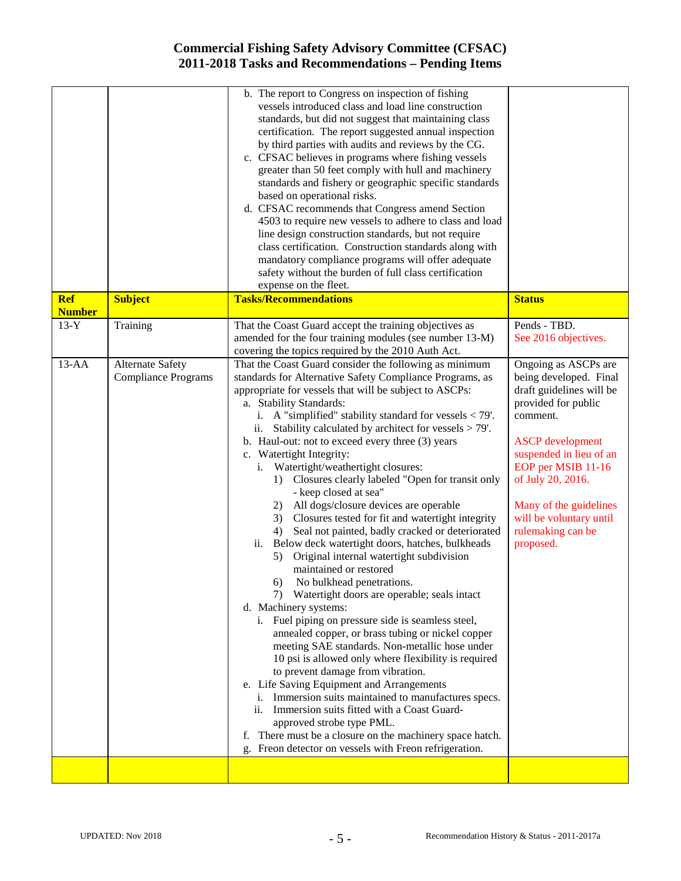| safety without the burden of full class certification<br>expense on the fleet.<br><b>Tasks/Recommendations</b>                                                                                                                                                                                                                                                                                                                                                                                                                                                                                                                                                                                                                                                                                                                                                                                                                                                                                                                                                                                                                                                                                                                                                                                                                                                                                                                                                                                                             | <b>Status</b>                                                                                                                                                                                                                                                                                         |
|----------------------------------------------------------------------------------------------------------------------------------------------------------------------------------------------------------------------------------------------------------------------------------------------------------------------------------------------------------------------------------------------------------------------------------------------------------------------------------------------------------------------------------------------------------------------------------------------------------------------------------------------------------------------------------------------------------------------------------------------------------------------------------------------------------------------------------------------------------------------------------------------------------------------------------------------------------------------------------------------------------------------------------------------------------------------------------------------------------------------------------------------------------------------------------------------------------------------------------------------------------------------------------------------------------------------------------------------------------------------------------------------------------------------------------------------------------------------------------------------------------------------------|-------------------------------------------------------------------------------------------------------------------------------------------------------------------------------------------------------------------------------------------------------------------------------------------------------|
|                                                                                                                                                                                                                                                                                                                                                                                                                                                                                                                                                                                                                                                                                                                                                                                                                                                                                                                                                                                                                                                                                                                                                                                                                                                                                                                                                                                                                                                                                                                            |                                                                                                                                                                                                                                                                                                       |
| That the Coast Guard accept the training objectives as<br>amended for the four training modules (see number 13-M)<br>covering the topics required by the 2010 Auth Act.                                                                                                                                                                                                                                                                                                                                                                                                                                                                                                                                                                                                                                                                                                                                                                                                                                                                                                                                                                                                                                                                                                                                                                                                                                                                                                                                                    | Pends - TBD.<br>See 2016 objectives.                                                                                                                                                                                                                                                                  |
| That the Coast Guard consider the following as minimum<br>standards for Alternative Safety Compliance Programs, as<br>appropriate for vessels that will be subject to ASCPs:<br>a. Stability Standards:<br>i. A "simplified" stability standard for vessels $<$ 79'.<br>Stability calculated by architect for vessels > 79'.<br>b. Haul-out: not to exceed every three (3) years<br>c. Watertight Integrity:<br>Watertight/weathertight closures:<br>i.<br>Closures clearly labeled "Open for transit only<br>1)<br>- keep closed at sea"<br>2) All dogs/closure devices are operable<br>3) Closures tested for fit and watertight integrity<br>Seal not painted, badly cracked or deteriorated<br>4)<br>Below deck watertight doors, hatches, bulkheads<br>ii.<br>5) Original internal watertight subdivision<br>maintained or restored<br>6) No bulkhead penetrations.<br>7) Watertight doors are operable; seals intact<br>d. Machinery systems:<br>i. Fuel piping on pressure side is seamless steel,<br>annealed copper, or brass tubing or nickel copper<br>meeting SAE standards. Non-metallic hose under<br>10 psi is allowed only where flexibility is required<br>to prevent damage from vibration.<br>e. Life Saving Equipment and Arrangements<br>i. Immersion suits maintained to manufactures specs.<br>ii. Immersion suits fitted with a Coast Guard-<br>approved strobe type PML.<br>There must be a closure on the machinery space hatch.<br>f.<br>g. Freon detector on vessels with Freon refrigeration. | Ongoing as ASCPs are<br>being developed. Final<br>draft guidelines will be<br>provided for public<br>comment.<br><b>ASCP</b> development<br>suspended in lieu of an<br>EOP per MSIB 11-16<br>of July 20, 2016.<br>Many of the guidelines<br>will be voluntary until<br>rulemaking can be<br>proposed. |
|                                                                                                                                                                                                                                                                                                                                                                                                                                                                                                                                                                                                                                                                                                                                                                                                                                                                                                                                                                                                                                                                                                                                                                                                                                                                                                                                                                                                                                                                                                                            | class certification. Construction standards along with<br>mandatory compliance programs will offer adequate                                                                                                                                                                                           |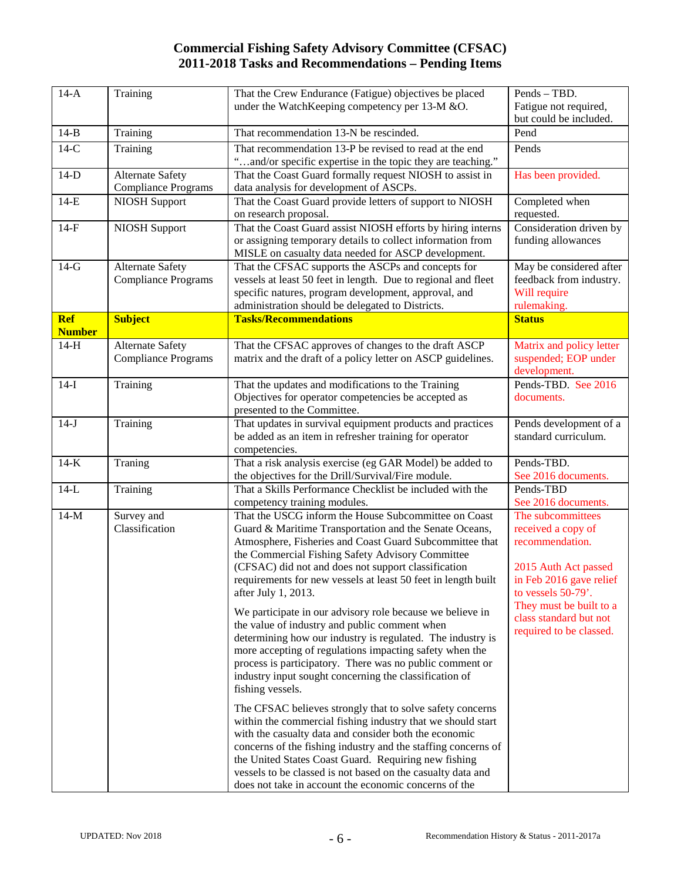| $14-A$                      | Training                                              | That the Crew Endurance (Fatigue) objectives be placed<br>under the WatchKeeping competency per 13-M &O.                                                                                                                                                                                                                                                                                                                                                                                                                                                                                                                                                                                                                                                                                                                   | Pends - TBD.<br>Fatigue not required,<br>but could be included.                                                                                                                                                     |
|-----------------------------|-------------------------------------------------------|----------------------------------------------------------------------------------------------------------------------------------------------------------------------------------------------------------------------------------------------------------------------------------------------------------------------------------------------------------------------------------------------------------------------------------------------------------------------------------------------------------------------------------------------------------------------------------------------------------------------------------------------------------------------------------------------------------------------------------------------------------------------------------------------------------------------------|---------------------------------------------------------------------------------------------------------------------------------------------------------------------------------------------------------------------|
| $14-B$                      | Training                                              | That recommendation 13-N be rescinded.                                                                                                                                                                                                                                                                                                                                                                                                                                                                                                                                                                                                                                                                                                                                                                                     | Pend                                                                                                                                                                                                                |
| $14-C$                      | Training                                              | That recommendation 13-P be revised to read at the end<br>"and/or specific expertise in the topic they are teaching."                                                                                                                                                                                                                                                                                                                                                                                                                                                                                                                                                                                                                                                                                                      | Pends                                                                                                                                                                                                               |
| $14-D$                      | <b>Alternate Safety</b><br><b>Compliance Programs</b> | That the Coast Guard formally request NIOSH to assist in<br>data analysis for development of ASCPs.                                                                                                                                                                                                                                                                                                                                                                                                                                                                                                                                                                                                                                                                                                                        | Has been provided.                                                                                                                                                                                                  |
| $14-E$                      | <b>NIOSH Support</b>                                  | That the Coast Guard provide letters of support to NIOSH<br>on research proposal.                                                                                                                                                                                                                                                                                                                                                                                                                                                                                                                                                                                                                                                                                                                                          | Completed when<br>requested.                                                                                                                                                                                        |
| $14-F$                      | <b>NIOSH Support</b>                                  | That the Coast Guard assist NIOSH efforts by hiring interns<br>or assigning temporary details to collect information from<br>MISLE on casualty data needed for ASCP development.                                                                                                                                                                                                                                                                                                                                                                                                                                                                                                                                                                                                                                           | Consideration driven by<br>funding allowances                                                                                                                                                                       |
| $14-G$                      | <b>Alternate Safety</b><br><b>Compliance Programs</b> | That the CFSAC supports the ASCPs and concepts for<br>vessels at least 50 feet in length. Due to regional and fleet<br>specific natures, program development, approval, and<br>administration should be delegated to Districts.                                                                                                                                                                                                                                                                                                                                                                                                                                                                                                                                                                                            | May be considered after<br>feedback from industry.<br>Will require<br>rulemaking.                                                                                                                                   |
| <b>Ref</b><br><b>Number</b> | <b>Subject</b>                                        | <b>Tasks/Recommendations</b>                                                                                                                                                                                                                                                                                                                                                                                                                                                                                                                                                                                                                                                                                                                                                                                               | <b>Status</b>                                                                                                                                                                                                       |
| $14-H$                      | Alternate Safety<br><b>Compliance Programs</b>        | That the CFSAC approves of changes to the draft ASCP<br>matrix and the draft of a policy letter on ASCP guidelines.                                                                                                                                                                                                                                                                                                                                                                                                                                                                                                                                                                                                                                                                                                        | Matrix and policy letter<br>suspended; EOP under<br>development.                                                                                                                                                    |
| $14-I$                      | Training                                              | That the updates and modifications to the Training<br>Objectives for operator competencies be accepted as<br>presented to the Committee.                                                                                                                                                                                                                                                                                                                                                                                                                                                                                                                                                                                                                                                                                   | Pends-TBD. See 2016<br>documents.                                                                                                                                                                                   |
| $14-J$                      | Training                                              | That updates in survival equipment products and practices<br>be added as an item in refresher training for operator<br>competencies.                                                                                                                                                                                                                                                                                                                                                                                                                                                                                                                                                                                                                                                                                       | Pends development of a<br>standard curriculum.                                                                                                                                                                      |
| $14-K$                      | Traning                                               | That a risk analysis exercise (eg GAR Model) be added to<br>the objectives for the Drill/Survival/Fire module.                                                                                                                                                                                                                                                                                                                                                                                                                                                                                                                                                                                                                                                                                                             | Pends-TBD.<br>See 2016 documents.                                                                                                                                                                                   |
| $14-L$                      | Training                                              | That a Skills Performance Checklist be included with the<br>competency training modules.                                                                                                                                                                                                                                                                                                                                                                                                                                                                                                                                                                                                                                                                                                                                   | Pends-TBD<br>See 2016 documents.                                                                                                                                                                                    |
| $14-M$                      | Survey and<br>Classification                          | That the USCG inform the House Subcommittee on Coast<br>Guard & Maritime Transportation and the Senate Oceans,<br>Atmosphere, Fisheries and Coast Guard Subcommittee that<br>the Commercial Fishing Safety Advisory Committee<br>(CFSAC) did not and does not support classification<br>requirements for new vessels at least 50 feet in length built<br>after July 1, 2013.<br>We participate in our advisory role because we believe in<br>the value of industry and public comment when<br>determining how our industry is regulated. The industry is<br>more accepting of regulations impacting safety when the<br>process is participatory. There was no public comment or<br>industry input sought concerning the classification of<br>fishing vessels.<br>The CFSAC believes strongly that to solve safety concerns | The subcommittees<br>received a copy of<br>recommendation.<br>2015 Auth Act passed<br>in Feb 2016 gave relief<br>to vessels 50-79'.<br>They must be built to a<br>class standard but not<br>required to be classed. |
|                             |                                                       | within the commercial fishing industry that we should start<br>with the casualty data and consider both the economic<br>concerns of the fishing industry and the staffing concerns of<br>the United States Coast Guard. Requiring new fishing<br>vessels to be classed is not based on the casualty data and<br>does not take in account the economic concerns of the                                                                                                                                                                                                                                                                                                                                                                                                                                                      |                                                                                                                                                                                                                     |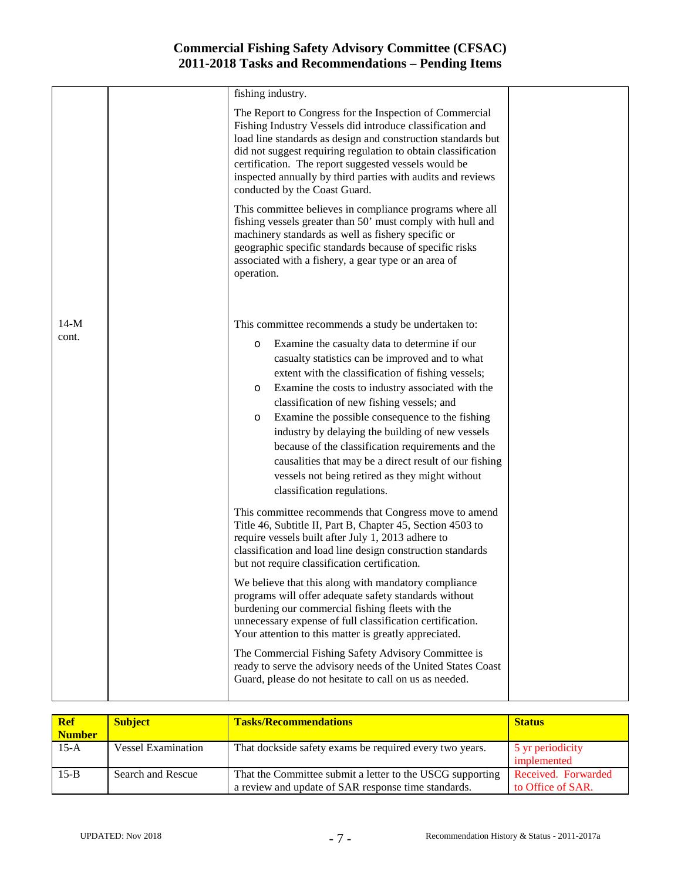|                 | fishing industry.                                                                                                                                                                                                                                                                                                                                                                                                                                                                                                                                                                                                                                                                                                                                                                                                                                                                                                                                |  |
|-----------------|--------------------------------------------------------------------------------------------------------------------------------------------------------------------------------------------------------------------------------------------------------------------------------------------------------------------------------------------------------------------------------------------------------------------------------------------------------------------------------------------------------------------------------------------------------------------------------------------------------------------------------------------------------------------------------------------------------------------------------------------------------------------------------------------------------------------------------------------------------------------------------------------------------------------------------------------------|--|
|                 | The Report to Congress for the Inspection of Commercial<br>Fishing Industry Vessels did introduce classification and<br>load line standards as design and construction standards but<br>did not suggest requiring regulation to obtain classification<br>certification. The report suggested vessels would be<br>inspected annually by third parties with audits and reviews<br>conducted by the Coast Guard.                                                                                                                                                                                                                                                                                                                                                                                                                                                                                                                                    |  |
|                 | This committee believes in compliance programs where all<br>fishing vessels greater than 50' must comply with hull and<br>machinery standards as well as fishery specific or<br>geographic specific standards because of specific risks<br>associated with a fishery, a gear type or an area of<br>operation.                                                                                                                                                                                                                                                                                                                                                                                                                                                                                                                                                                                                                                    |  |
| $14-M$<br>cont. | This committee recommends a study be undertaken to:<br>Examine the casualty data to determine if our<br>$\circ$<br>casualty statistics can be improved and to what<br>extent with the classification of fishing vessels;<br>Examine the costs to industry associated with the<br>O<br>classification of new fishing vessels; and<br>Examine the possible consequence to the fishing<br>$\circ$<br>industry by delaying the building of new vessels<br>because of the classification requirements and the<br>causalities that may be a direct result of our fishing<br>vessels not being retired as they might without<br>classification regulations.<br>This committee recommends that Congress move to amend<br>Title 46, Subtitle II, Part B, Chapter 45, Section 4503 to<br>require vessels built after July 1, 2013 adhere to<br>classification and load line design construction standards<br>but not require classification certification. |  |
|                 | We believe that this along with mandatory compliance<br>programs will offer adequate safety standards without<br>burdening our commercial fishing fleets with the<br>unnecessary expense of full classification certification.<br>Your attention to this matter is greatly appreciated.<br>The Commercial Fishing Safety Advisory Committee is                                                                                                                                                                                                                                                                                                                                                                                                                                                                                                                                                                                                   |  |
|                 | ready to serve the advisory needs of the United States Coast<br>Guard, please do not hesitate to call on us as needed.                                                                                                                                                                                                                                                                                                                                                                                                                                                                                                                                                                                                                                                                                                                                                                                                                           |  |

| <b>Ref</b><br><b>Number</b> | <b>Subject</b>            | <b>Tasks/Recommendations</b>                                                                                     | <b>Status</b>                            |
|-----------------------------|---------------------------|------------------------------------------------------------------------------------------------------------------|------------------------------------------|
| $15-A$                      | <b>Vessel Examination</b> | That dockside safety exams be required every two years.                                                          | 5 yr periodicity<br>implemented          |
| $15 - B$                    | Search and Rescue         | That the Committee submit a letter to the USCG supporting<br>a review and update of SAR response time standards. | Received. Forwarded<br>to Office of SAR. |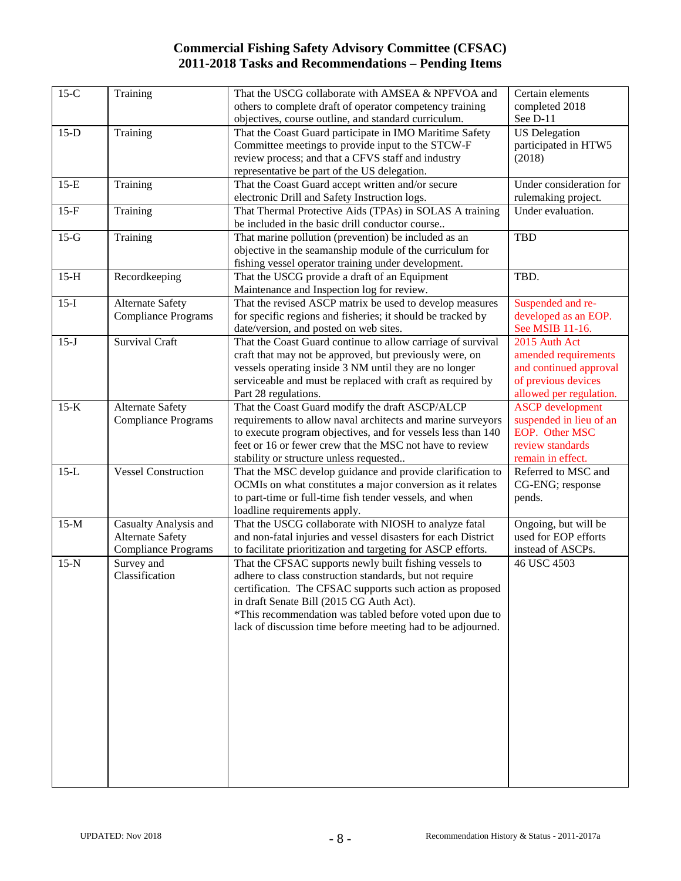| $15-C$ | Training                   | That the USCG collaborate with AMSEA & NPFVOA and             | Certain elements        |
|--------|----------------------------|---------------------------------------------------------------|-------------------------|
|        |                            | others to complete draft of operator competency training      | completed 2018          |
|        |                            | objectives, course outline, and standard curriculum.          | See D-11                |
| $15-D$ | Training                   | That the Coast Guard participate in IMO Maritime Safety       | <b>US</b> Delegation    |
|        |                            | Committee meetings to provide input to the STCW-F             | participated in HTW5    |
|        |                            | review process; and that a CFVS staff and industry            | (2018)                  |
|        |                            | representative be part of the US delegation.                  |                         |
| $15-E$ | Training                   | That the Coast Guard accept written and/or secure             | Under consideration for |
|        |                            | electronic Drill and Safety Instruction logs.                 | rulemaking project.     |
| $15-F$ | Training                   | That Thermal Protective Aids (TPAs) in SOLAS A training       | Under evaluation.       |
|        |                            | be included in the basic drill conductor course               |                         |
| $15-G$ | Training                   | That marine pollution (prevention) be included as an          | <b>TBD</b>              |
|        |                            | objective in the seamanship module of the curriculum for      |                         |
|        |                            | fishing vessel operator training under development.           |                         |
| $15-H$ | Recordkeeping              | That the USCG provide a draft of an Equipment                 | TBD.                    |
|        |                            | Maintenance and Inspection log for review.                    |                         |
| $15-I$ | <b>Alternate Safety</b>    | That the revised ASCP matrix be used to develop measures      | Suspended and re-       |
|        | <b>Compliance Programs</b> | for specific regions and fisheries; it should be tracked by   | developed as an EOP.    |
|        |                            | date/version, and posted on web sites.                        | See MSIB 11-16.         |
| $15-J$ | <b>Survival Craft</b>      | That the Coast Guard continue to allow carriage of survival   | 2015 Auth Act           |
|        |                            | craft that may not be approved, but previously were, on       | amended requirements    |
|        |                            | vessels operating inside 3 NM until they are no longer        | and continued approval  |
|        |                            | serviceable and must be replaced with craft as required by    | of previous devices     |
|        |                            | Part 28 regulations.                                          | allowed per regulation. |
| $15-K$ | <b>Alternate Safety</b>    | That the Coast Guard modify the draft ASCP/ALCP               | <b>ASCP</b> development |
|        | <b>Compliance Programs</b> | requirements to allow naval architects and marine surveyors   | suspended in lieu of an |
|        |                            | to execute program objectives, and for vessels less than 140  | EOP. Other MSC          |
|        |                            | feet or 16 or fewer crew that the MSC not have to review      | review standards        |
|        |                            | stability or structure unless requested                       | remain in effect.       |
| $15-L$ | <b>Vessel Construction</b> | That the MSC develop guidance and provide clarification to    | Referred to MSC and     |
|        |                            | OCMIs on what constitutes a major conversion as it relates    | CG-ENG; response        |
|        |                            | to part-time or full-time fish tender vessels, and when       | pends.                  |
|        |                            | loadline requirements apply.                                  |                         |
| $15-M$ | Casualty Analysis and      | That the USCG collaborate with NIOSH to analyze fatal         | Ongoing, but will be    |
|        | <b>Alternate Safety</b>    | and non-fatal injuries and vessel disasters for each District | used for EOP efforts    |
|        | <b>Compliance Programs</b> | to facilitate prioritization and targeting for ASCP efforts.  | instead of ASCPs.       |
| $15-N$ | Survey and                 | That the CFSAC supports newly built fishing vessels to        | 46 USC 4503             |
|        | Classification             | adhere to class construction standards, but not require       |                         |
|        |                            | certification. The CFSAC supports such action as proposed     |                         |
|        |                            | in draft Senate Bill (2015 CG Auth Act).                      |                         |
|        |                            | *This recommendation was tabled before voted upon due to      |                         |
|        |                            | lack of discussion time before meeting had to be adjourned.   |                         |
|        |                            |                                                               |                         |
|        |                            |                                                               |                         |
|        |                            |                                                               |                         |
|        |                            |                                                               |                         |
|        |                            |                                                               |                         |
|        |                            |                                                               |                         |
|        |                            |                                                               |                         |
|        |                            |                                                               |                         |
|        |                            |                                                               |                         |
|        |                            |                                                               |                         |
|        |                            |                                                               |                         |
|        |                            |                                                               |                         |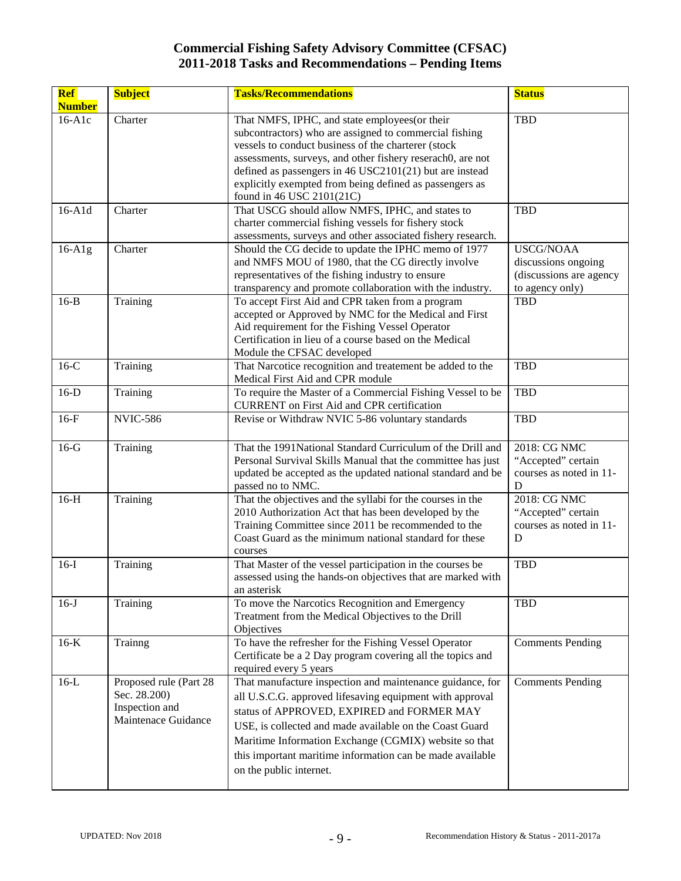| Ref<br><b>Number</b> | <b>Subject</b>                                                                  | <b>Tasks/Recommendations</b>                                                                                                                                                                                                                                                                                                                                                    | <b>Status</b>                                                                         |
|----------------------|---------------------------------------------------------------------------------|---------------------------------------------------------------------------------------------------------------------------------------------------------------------------------------------------------------------------------------------------------------------------------------------------------------------------------------------------------------------------------|---------------------------------------------------------------------------------------|
| $16-A1c$             | Charter                                                                         | That NMFS, IPHC, and state employees(or their<br>subcontractors) who are assigned to commercial fishing<br>vessels to conduct business of the charterer (stock<br>assessments, surveys, and other fishery reserach0, are not<br>defined as passengers in 46 USC2101(21) but are instead<br>explicitly exempted from being defined as passengers as<br>found in 46 USC 2101(21C) | <b>TBD</b>                                                                            |
| $16-$ A $1d$         | Charter                                                                         | That USCG should allow NMFS, IPHC, and states to<br>charter commercial fishing vessels for fishery stock<br>assessments, surveys and other associated fishery research.                                                                                                                                                                                                         | <b>TBD</b>                                                                            |
| $16-A1g$             | Charter                                                                         | Should the CG decide to update the IPHC memo of 1977<br>and NMFS MOU of 1980, that the CG directly involve<br>representatives of the fishing industry to ensure<br>transparency and promote collaboration with the industry.                                                                                                                                                    | <b>USCG/NOAA</b><br>discussions ongoing<br>(discussions are agency<br>to agency only) |
| $16-B$               | Training                                                                        | To accept First Aid and CPR taken from a program<br>accepted or Approved by NMC for the Medical and First<br>Aid requirement for the Fishing Vessel Operator<br>Certification in lieu of a course based on the Medical<br>Module the CFSAC developed                                                                                                                            | <b>TBD</b>                                                                            |
| $16-C$               | Training                                                                        | That Narcotice recognition and treatement be added to the<br>Medical First Aid and CPR module                                                                                                                                                                                                                                                                                   | <b>TBD</b>                                                                            |
| $16-D$               | Training                                                                        | To require the Master of a Commercial Fishing Vessel to be<br><b>CURRENT</b> on First Aid and CPR certification                                                                                                                                                                                                                                                                 | <b>TBD</b>                                                                            |
| $16-F$               | <b>NVIC-586</b>                                                                 | Revise or Withdraw NVIC 5-86 voluntary standards                                                                                                                                                                                                                                                                                                                                | <b>TBD</b>                                                                            |
| $16-G$               | Training                                                                        | That the 1991 National Standard Curriculum of the Drill and<br>Personal Survival Skills Manual that the committee has just<br>updated be accepted as the updated national standard and be<br>passed no to NMC.                                                                                                                                                                  | 2018: CG NMC<br>"Accepted" certain<br>courses as noted in 11-<br>D                    |
| $16-H$               | Training                                                                        | That the objectives and the syllabi for the courses in the<br>2010 Authorization Act that has been developed by the<br>Training Committee since 2011 be recommended to the<br>Coast Guard as the minimum national standard for these<br>courses                                                                                                                                 | 2018: CG NMC<br>"Accepted" certain<br>courses as noted in 11-<br>D                    |
| $16-I$               | Training                                                                        | That Master of the vessel participation in the courses be<br>assessed using the hands-on objectives that are marked with<br>an asterisk                                                                                                                                                                                                                                         | <b>TBD</b>                                                                            |
| $16-J$               | Training                                                                        | To move the Narcotics Recognition and Emergency<br>Treatment from the Medical Objectives to the Drill<br>Objectives                                                                                                                                                                                                                                                             | <b>TBD</b>                                                                            |
| $16-K$               | Trainng                                                                         | To have the refresher for the Fishing Vessel Operator<br>Certificate be a 2 Day program covering all the topics and<br>required every 5 years                                                                                                                                                                                                                                   | <b>Comments Pending</b>                                                               |
| $16-L$               | Proposed rule (Part 28<br>Sec. 28.200)<br>Inspection and<br>Maintenace Guidance | That manufacture inspection and maintenance guidance, for<br>all U.S.C.G. approved lifesaving equipment with approval<br>status of APPROVED, EXPIRED and FORMER MAY<br>USE, is collected and made available on the Coast Guard<br>Maritime Information Exchange (CGMIX) website so that<br>this important maritime information can be made available<br>on the public internet. | <b>Comments Pending</b>                                                               |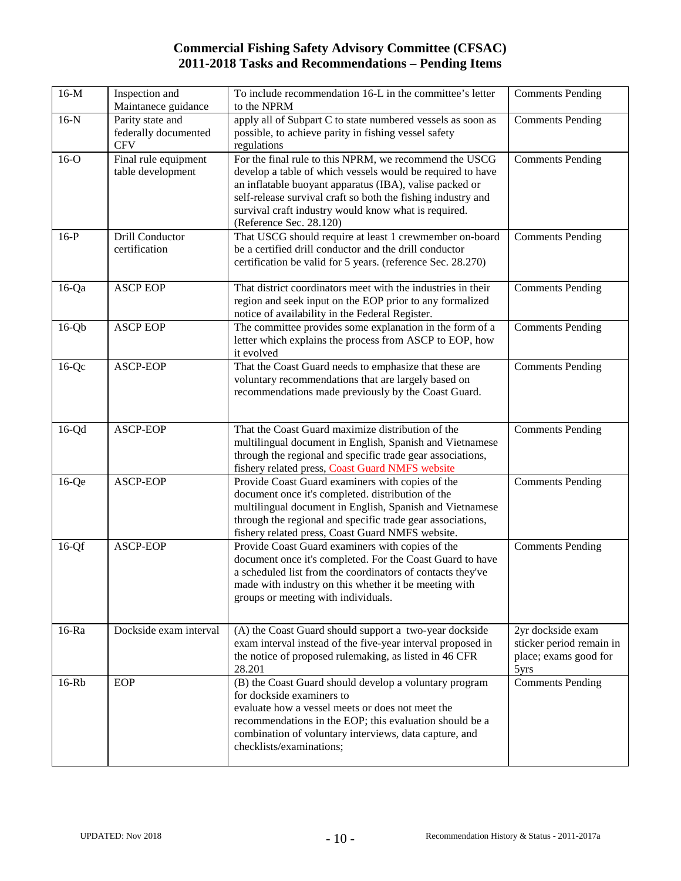| $16-M$   | Inspection and<br>Maintanece guidance                  | To include recommendation 16-L in the committee's letter<br>to the NPRM                                                                                                                                                                                                                                                            | <b>Comments Pending</b>                                                        |
|----------|--------------------------------------------------------|------------------------------------------------------------------------------------------------------------------------------------------------------------------------------------------------------------------------------------------------------------------------------------------------------------------------------------|--------------------------------------------------------------------------------|
| $16-N$   | Parity state and<br>federally documented<br><b>CFV</b> | apply all of Subpart C to state numbered vessels as soon as<br>possible, to achieve parity in fishing vessel safety<br>regulations                                                                                                                                                                                                 | <b>Comments Pending</b>                                                        |
| $16-o$   | Final rule equipment<br>table development              | For the final rule to this NPRM, we recommend the USCG<br>develop a table of which vessels would be required to have<br>an inflatable buoyant apparatus (IBA), valise packed or<br>self-release survival craft so both the fishing industry and<br>survival craft industry would know what is required.<br>(Reference Sec. 28.120) | <b>Comments Pending</b>                                                        |
| $16-P$   | Drill Conductor<br>certification                       | That USCG should require at least 1 crewmember on-board<br>be a certified drill conductor and the drill conductor<br>certification be valid for 5 years. (reference Sec. 28.270)                                                                                                                                                   | <b>Comments Pending</b>                                                        |
| $16$ -Qa | <b>ASCP EOP</b>                                        | That district coordinators meet with the industries in their<br>region and seek input on the EOP prior to any formalized<br>notice of availability in the Federal Register.                                                                                                                                                        | <b>Comments Pending</b>                                                        |
| $16-Qb$  | <b>ASCP EOP</b>                                        | The committee provides some explanation in the form of a<br>letter which explains the process from ASCP to EOP, how<br>it evolved                                                                                                                                                                                                  | <b>Comments Pending</b>                                                        |
| $16-Qc$  | ASCP-EOP                                               | That the Coast Guard needs to emphasize that these are<br>voluntary recommendations that are largely based on<br>recommendations made previously by the Coast Guard.                                                                                                                                                               | <b>Comments Pending</b>                                                        |
| $16-Qd$  | ASCP-EOP                                               | That the Coast Guard maximize distribution of the<br>multilingual document in English, Spanish and Vietnamese<br>through the regional and specific trade gear associations,<br>fishery related press, Coast Guard NMFS website                                                                                                     | <b>Comments Pending</b>                                                        |
| $16-Qe$  | ASCP-EOP                                               | Provide Coast Guard examiners with copies of the<br>document once it's completed. distribution of the<br>multilingual document in English, Spanish and Vietnamese<br>through the regional and specific trade gear associations,<br>fishery related press, Coast Guard NMFS website.                                                | <b>Comments Pending</b>                                                        |
| $16-Qf$  | ASCP-EOP                                               | Provide Coast Guard examiners with copies of the<br>document once it's completed. For the Coast Guard to have<br>a scheduled list from the coordinators of contacts they've<br>made with industry on this whether it be meeting with<br>groups or meeting with individuals.                                                        | <b>Comments Pending</b>                                                        |
| $16-Ra$  | Dockside exam interval                                 | (A) the Coast Guard should support a two-year dockside<br>exam interval instead of the five-year interval proposed in<br>the notice of proposed rulemaking, as listed in 46 CFR<br>28.201                                                                                                                                          | 2yr dockside exam<br>sticker period remain in<br>place; exams good for<br>5yrs |
| $16-Rb$  | EOP                                                    | (B) the Coast Guard should develop a voluntary program<br>for dockside examiners to<br>evaluate how a vessel meets or does not meet the<br>recommendations in the EOP; this evaluation should be a<br>combination of voluntary interviews, data capture, and<br>checklists/examinations;                                           | <b>Comments Pending</b>                                                        |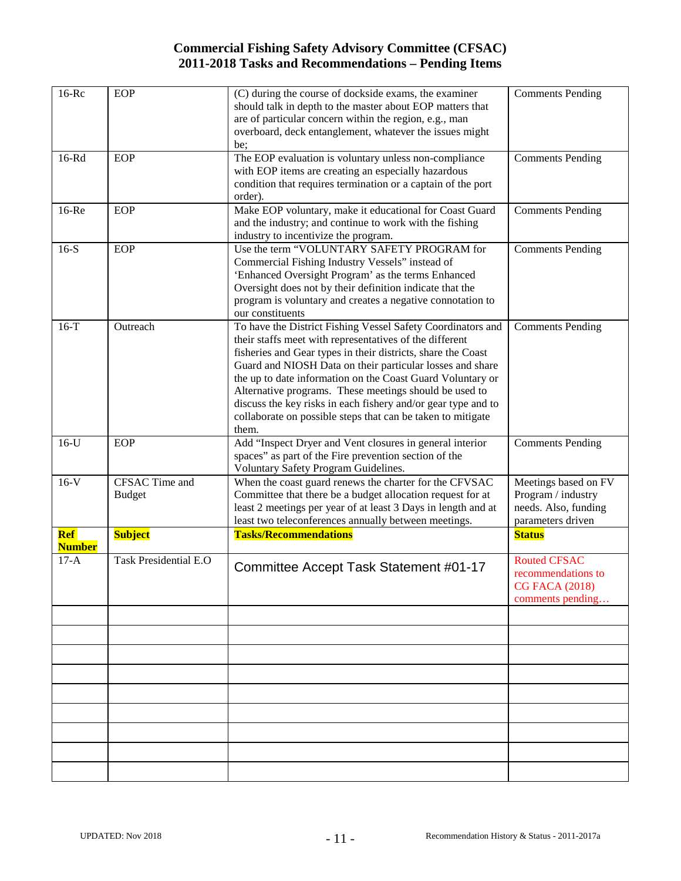| $16-Rc$              | EOP                             | (C) during the course of dockside exams, the examiner<br>should talk in depth to the master about EOP matters that<br>are of particular concern within the region, e.g., man<br>overboard, deck entanglement, whatever the issues might<br>be;                                                                                                                                                                                                                                                                       | <b>Comments Pending</b>                                                                 |
|----------------------|---------------------------------|----------------------------------------------------------------------------------------------------------------------------------------------------------------------------------------------------------------------------------------------------------------------------------------------------------------------------------------------------------------------------------------------------------------------------------------------------------------------------------------------------------------------|-----------------------------------------------------------------------------------------|
| 16-Rd                | <b>EOP</b>                      | The EOP evaluation is voluntary unless non-compliance<br>with EOP items are creating an especially hazardous<br>condition that requires termination or a captain of the port<br>order).                                                                                                                                                                                                                                                                                                                              | <b>Comments Pending</b>                                                                 |
| $16$ -Re             | EOP                             | Make EOP voluntary, make it educational for Coast Guard<br>and the industry; and continue to work with the fishing<br>industry to incentivize the program.                                                                                                                                                                                                                                                                                                                                                           | <b>Comments Pending</b>                                                                 |
| $16-S$               | <b>EOP</b>                      | Use the term "VOLUNTARY SAFETY PROGRAM for<br>Commercial Fishing Industry Vessels" instead of<br>'Enhanced Oversight Program' as the terms Enhanced<br>Oversight does not by their definition indicate that the<br>program is voluntary and creates a negative connotation to<br>our constituents                                                                                                                                                                                                                    | <b>Comments Pending</b>                                                                 |
| $16-T$               | Outreach                        | To have the District Fishing Vessel Safety Coordinators and<br>their staffs meet with representatives of the different<br>fisheries and Gear types in their districts, share the Coast<br>Guard and NIOSH Data on their particular losses and share<br>the up to date information on the Coast Guard Voluntary or<br>Alternative programs. These meetings should be used to<br>discuss the key risks in each fishery and/or gear type and to<br>collaborate on possible steps that can be taken to mitigate<br>them. | <b>Comments Pending</b>                                                                 |
| $16-U$               | <b>EOP</b>                      | Add "Inspect Dryer and Vent closures in general interior<br>spaces" as part of the Fire prevention section of the<br>Voluntary Safety Program Guidelines.                                                                                                                                                                                                                                                                                                                                                            | <b>Comments Pending</b>                                                                 |
| $16-V$               | CFSAC Time and<br><b>Budget</b> | When the coast guard renews the charter for the CFVSAC<br>Committee that there be a budget allocation request for at<br>least 2 meetings per year of at least 3 Days in length and at<br>least two teleconferences annually between meetings.                                                                                                                                                                                                                                                                        | Meetings based on FV<br>Program / industry<br>needs. Also, funding<br>parameters driven |
| Ref<br><b>Number</b> | <b>Subject</b>                  | <b>Tasks/Recommendations</b>                                                                                                                                                                                                                                                                                                                                                                                                                                                                                         | <b>Status</b>                                                                           |
| $17-A$               | <b>Task Presidential E.O</b>    | Committee Accept Task Statement #01-17                                                                                                                                                                                                                                                                                                                                                                                                                                                                               | <b>Routed CFSAC</b><br>recommendations to<br><b>CG FACA (2018)</b><br>comments pending  |
|                      |                                 |                                                                                                                                                                                                                                                                                                                                                                                                                                                                                                                      |                                                                                         |
|                      |                                 |                                                                                                                                                                                                                                                                                                                                                                                                                                                                                                                      |                                                                                         |
|                      |                                 |                                                                                                                                                                                                                                                                                                                                                                                                                                                                                                                      |                                                                                         |
|                      |                                 |                                                                                                                                                                                                                                                                                                                                                                                                                                                                                                                      |                                                                                         |
|                      |                                 |                                                                                                                                                                                                                                                                                                                                                                                                                                                                                                                      |                                                                                         |
|                      |                                 |                                                                                                                                                                                                                                                                                                                                                                                                                                                                                                                      |                                                                                         |
|                      |                                 |                                                                                                                                                                                                                                                                                                                                                                                                                                                                                                                      |                                                                                         |
|                      |                                 |                                                                                                                                                                                                                                                                                                                                                                                                                                                                                                                      |                                                                                         |